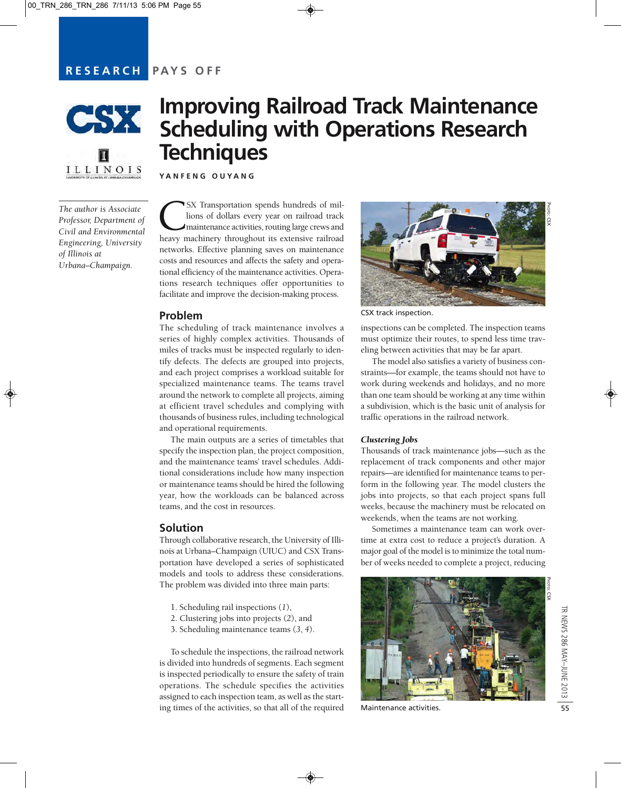# **RESEARCH PAYS OFF**



ILLINOIS

*The author is Associate Professor, Department of Civil and Environmental Engineering, University of Illinois at Urbana–Champaign.*

# **Improving Railroad Track Maintenance Scheduling with Operations Research Techniques**

**YANFENG OUYANG** 

SX Transportation spends hundreds of millions of dollars every year on railroad track maintenance activities, routing large crews and heavy machinery throughout its extensive railroad lions of dollars every year on railroad track maintenance activities, routing large crews and networks. Effective planning saves on maintenance costs and resources and affects the safety and operational efficiency of the maintenance activities. Operations research techniques offer opportunities to facilitate and improve the decision-making process.

#### **Problem**

The scheduling of track maintenance involves a series of highly complex activities. Thousands of miles of tracks must be inspected regularly to identify defects. The defects are grouped into projects, and each project comprises a workload suitable for specialized maintenance teams. The teams travel around the network to complete all projects, aiming at efficient travel schedules and complying with thousands of business rules, including technological and operational requirements.

The main outputs are a series of timetables that specify the inspection plan, the project composition, and the maintenance teams' travel schedules. Additional considerations include how many inspection or maintenance teams should be hired the following year, how the workloads can be balanced across teams, and the cost in resources.

## **Solution**

Through collaborative research, the University of Illinois at Urbana–Champaign (UIUC) and CSX Transportation have developed a series of sophisticated models and tools to address these considerations. The problem was divided into three main parts:

- 1. Scheduling rail inspections (*1*),
- 2. Clustering jobs into projects (*2*), and
- 3. Scheduling maintenance teams (*3*, *4*).

To schedule the inspections, the railroad network is divided into hundreds of segments. Each segment is inspected periodically to ensure the safety of train operations. The schedule specifies the activities assigned to each inspection team, as well as the starting times of the activities, so that all of the required



CSX track inspection.

inspections can be completed. The inspection teams must optimize their routes, to spend less time traveling between activities that may be far apart.

The model also satisfies a variety of business constraints—for example, the teams should not have to work during weekends and holidays, and no more than one team should be working at any time within a subdivision, which is the basic unit of analysis for traffic operations in the railroad network.

#### *Clustering Jobs*

Thousands of track maintenance jobs—such as the replacement of track components and other major repairs—are identified for maintenance teams to perform in the following year. The model clusters the jobs into projects, so that each project spans full weeks, because the machinery must be relocated on weekends, when the teams are not working.

Sometimes a maintenance team can work overtime at extra cost to reduce a project's duration. A major goal of the model is to minimize the total number of weeks needed to complete a project, reducing



Maintenance activities.

PHOTO: CSX